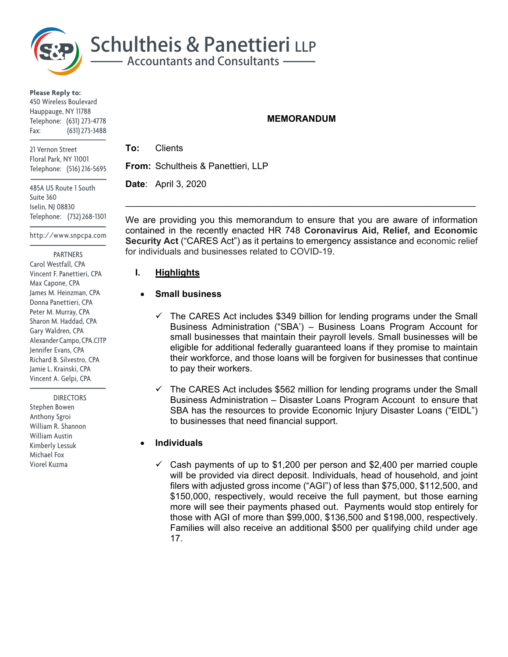

**Please Reply to:** 450 Wireless Boulevard Hauppauge, NY 11788 Telephone: (631) 273-4778 Fax: (631) 273-3488

21 Vernon Street Floral Park, NY 11001 Telephone: (516) 216-5695

485A US Route 1 South Suite 360 Iselin, NJ 08830 Telephone: (732) 268-1301

http://www.snpcpa.com

**PARTNERS** Carol Westfall, CPA Vincent F. Panettieri, CPA Max Capone, CPA James M. Heinzman, CPA Donna Panettieri, CPA Peter M. Murray, CPA Sharon M. Haddad, CPA Gary Waldren, CPA Alexander Campo, CPA.CITP Jennifer Evans, CPA Richard B. Silvestro, CPA Jamie L. Krainski, CPA Vincent A. Gelpi, CPA

 DIRECTORS Stephen Bowen Anthony Sgroi William R. Shannon William Austin Kimberly Lessuk Michael Fox Viorel Kuzma

## **MEMORANDUM**

**To:** Clients **From:** Schultheis & Panettieri, LLP

**Date**: April 3, 2020

We are providing you this memorandum to ensure that you are aware of information contained in the recently enacted HR 748 **Coronavirus Aid, Relief, and Economic Security Act** ("CARES Act") as it pertains to emergency assistance and economic relief for individuals and businesses related to COVID-19.

 $\mathcal{L}_\text{max} = \mathcal{L}_\text{max} = \mathcal{L}_\text{max} = \mathcal{L}_\text{max} = \mathcal{L}_\text{max} = \mathcal{L}_\text{max} = \mathcal{L}_\text{max} = \mathcal{L}_\text{max} = \mathcal{L}_\text{max} = \mathcal{L}_\text{max} = \mathcal{L}_\text{max} = \mathcal{L}_\text{max} = \mathcal{L}_\text{max} = \mathcal{L}_\text{max} = \mathcal{L}_\text{max} = \mathcal{L}_\text{max} = \mathcal{L}_\text{max} = \mathcal{L}_\text{max} = \mathcal{$ 

## **I. Highlights**

### **Small business**

- $\checkmark$  The CARES Act includes \$349 billion for lending programs under the Small Business Administration ("SBA') – Business Loans Program Account for small businesses that maintain their payroll levels. Small businesses will be eligible for additional federally guaranteed loans if they promise to maintain their workforce, and those loans will be forgiven for businesses that continue to pay their workers.
- $\checkmark$  The CARES Act includes \$562 million for lending programs under the Small Business Administration – Disaster Loans Program Account to ensure that SBA has the resources to provide Economic Injury Disaster Loans ("EIDL") to businesses that need financial support.

# **Individuals**

 $\checkmark$  Cash payments of up to \$1,200 per person and \$2,400 per married couple will be provided via direct deposit. Individuals, head of household, and joint filers with adjusted gross income ("AGI") of less than \$75,000, \$112,500, and \$150,000, respectively, would receive the full payment, but those earning more will see their payments phased out. Payments would stop entirely for those with AGI of more than \$99,000, \$136,500 and \$198,000, respectively. Families will also receive an additional \$500 per qualifying child under age 17.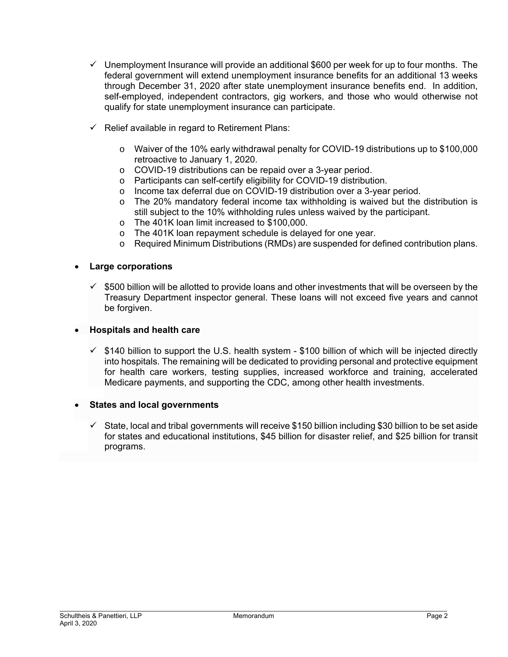- $\checkmark$  Unemployment Insurance will provide an additional \$600 per week for up to four months. The federal government will extend unemployment insurance benefits for an additional 13 weeks through December 31, 2020 after state unemployment insurance benefits end. In addition, self-employed, independent contractors, gig workers, and those who would otherwise not qualify for state unemployment insurance can participate.
- $\checkmark$  Relief available in regard to Retirement Plans:
	- o Waiver of the 10% early withdrawal penalty for COVID-19 distributions up to \$100,000 retroactive to January 1, 2020.
	- o COVID-19 distributions can be repaid over a 3-year period.
	- o Participants can self-certify eligibility for COVID-19 distribution.
	- o Income tax deferral due on COVID-19 distribution over a 3-year period.
	- o The 20% mandatory federal income tax withholding is waived but the distribution is still subject to the 10% withholding rules unless waived by the participant.
	- o The 401K loan limit increased to \$100,000.
	- o The 401K loan repayment schedule is delayed for one year.
	- o Required Minimum Distributions (RMDs) are suspended for defined contribution plans.

#### **Large corporations**

 $\checkmark$  \$500 billion will be allotted to provide loans and other investments that will be overseen by the Treasury Department inspector general. These loans will not exceed five years and cannot be forgiven.

#### **Hospitals and health care**

 $\checkmark$  \$140 billion to support the U.S. health system - \$100 billion of which will be injected directly into hospitals. The remaining will be dedicated to providing personal and protective equipment for health care workers, testing supplies, increased workforce and training, accelerated Medicare payments, and supporting the CDC, among other health investments.

#### **States and local governments**

 $\checkmark$  State, local and tribal governments will receive \$150 billion including \$30 billion to be set aside for states and educational institutions, \$45 billion for disaster relief, and \$25 billion for transit programs.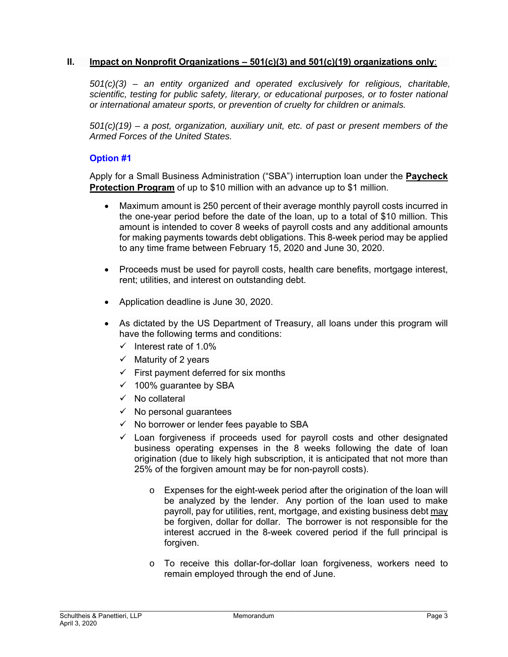## **II. Impact on Nonprofit Organizations – 501(c)(3) and 501(c)(19) organizations only**:

*501(c)(3) – an entity organized and operated exclusively for religious, charitable, scientific, testing for public safety, literary, or educational purposes, or to foster national or international amateur sports, or prevention of cruelty for children or animals.*

*501(c)(19) – a post, organization, auxiliary unit, etc. of past or present members of the Armed Forces of the United States.*

## **Option #1**

Apply for a Small Business Administration ("SBA") interruption loan under the **Paycheck Protection Program** of up to \$10 million with an advance up to \$1 million.

- Maximum amount is 250 percent of their average monthly payroll costs incurred in the one-year period before the date of the loan, up to a total of \$10 million. This amount is intended to cover 8 weeks of payroll costs and any additional amounts for making payments towards debt obligations. This 8-week period may be applied to any time frame between February 15, 2020 and June 30, 2020.
- Proceeds must be used for payroll costs, health care benefits, mortgage interest, rent; utilities, and interest on outstanding debt.
- Application deadline is June 30, 2020.
- As dictated by the US Department of Treasury, all loans under this program will have the following terms and conditions:
	- $\checkmark$  Interest rate of 1.0%
	- $\checkmark$  Maturity of 2 years
	- $\checkmark$  First payment deferred for six months
	- $\times$  100% guarantee by SBA
	- $\checkmark$  No collateral
	- $\checkmark$  No personal guarantees
	- $\checkmark$  No borrower or lender fees payable to SBA
	- $\checkmark$  Loan forgiveness if proceeds used for payroll costs and other designated business operating expenses in the 8 weeks following the date of loan origination (due to likely high subscription, it is anticipated that not more than 25% of the forgiven amount may be for non-payroll costs).
		- o Expenses for the eight-week period after the origination of the loan will be analyzed by the lender. Any portion of the loan used to make payroll, pay for utilities, rent, mortgage, and existing business debt may be forgiven, dollar for dollar. The borrower is not responsible for the interest accrued in the 8-week covered period if the full principal is forgiven.
		- o To receive this dollar-for-dollar loan forgiveness, workers need to remain employed through the end of June.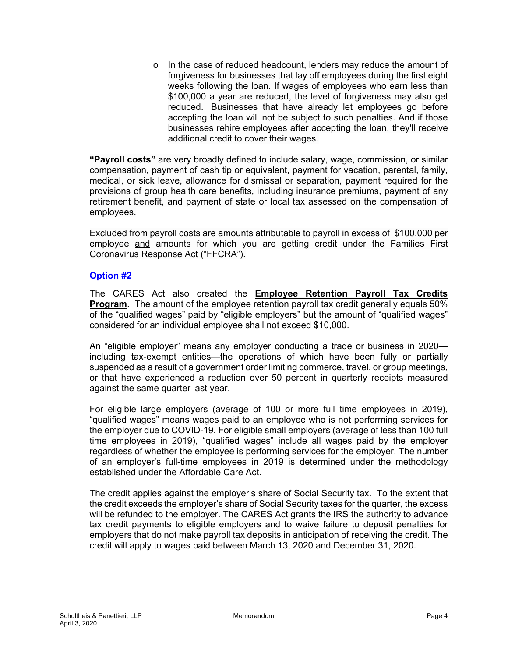o In the case of reduced headcount, lenders may reduce the amount of forgiveness for businesses that lay off employees during the first eight weeks following the loan. If wages of employees who earn less than \$100,000 a year are reduced, the level of forgiveness may also get reduced. Businesses that have already let employees go before accepting the loan will not be subject to such penalties. And if those businesses rehire employees after accepting the loan, they'll receive additional credit to cover their wages.

**"Payroll costs"** are very broadly defined to include salary, wage, commission, or similar compensation, payment of cash tip or equivalent, payment for vacation, parental, family, medical, or sick leave, allowance for dismissal or separation, payment required for the provisions of group health care benefits, including insurance premiums, payment of any retirement benefit, and payment of state or local tax assessed on the compensation of employees.

Excluded from payroll costs are amounts attributable to payroll in excess of \$100,000 per employee and amounts for which you are getting credit under the Families First Coronavirus Response Act ("FFCRA").

# **Option #2**

The CARES Act also created the **Employee Retention Payroll Tax Credits Program**. The amount of the employee retention payroll tax credit generally equals 50% of the "qualified wages" paid by "eligible employers" but the amount of "qualified wages" considered for an individual employee shall not exceed \$10,000.

An "eligible employer" means any employer conducting a trade or business in 2020 including tax-exempt entities—the operations of which have been fully or partially suspended as a result of a government order limiting commerce, travel, or group meetings, or that have experienced a reduction over 50 percent in quarterly receipts measured against the same quarter last year.

For eligible large employers (average of 100 or more full time employees in 2019), "qualified wages" means wages paid to an employee who is not performing services for the employer due to COVID-19. For eligible small employers (average of less than 100 full time employees in 2019), "qualified wages" include all wages paid by the employer regardless of whether the employee is performing services for the employer. The number of an employer's full-time employees in 2019 is determined under the methodology established under the Affordable Care Act.

The credit applies against the employer's share of Social Security tax. To the extent that the credit exceeds the employer's share of Social Security taxes for the quarter, the excess will be refunded to the employer. The CARES Act grants the IRS the authority to advance tax credit payments to eligible employers and to waive failure to deposit penalties for employers that do not make payroll tax deposits in anticipation of receiving the credit. The credit will apply to wages paid between March 13, 2020 and December 31, 2020.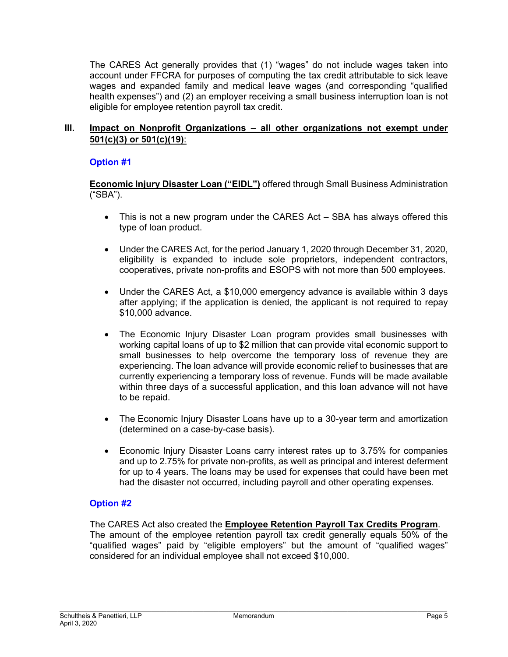The CARES Act generally provides that (1) "wages" do not include wages taken into account under FFCRA for purposes of computing the tax credit attributable to sick leave wages and expanded family and medical leave wages (and corresponding "qualified health expenses") and (2) an employer receiving a small business interruption loan is not eligible for employee retention payroll tax credit.

## **III.** Impact on Nonprofit Organizations - all other organizations not exempt under **501(c)(3) or 501(c)(19)**:

## **Option #1**

**Economic Injury Disaster Loan ("EIDL")** offered through Small Business Administration ("SBA").

- This is not a new program under the CARES Act SBA has always offered this type of loan product.
- Under the CARES Act, for the period January 1, 2020 through December 31, 2020, eligibility is expanded to include sole proprietors, independent contractors, cooperatives, private non-profits and ESOPS with not more than 500 employees.
- Under the CARES Act, a \$10,000 emergency advance is available within 3 days after applying; if the application is denied, the applicant is not required to repay \$10,000 advance.
- The Economic Injury Disaster Loan program provides small businesses with working capital loans of up to \$2 million that can provide vital economic support to small businesses to help overcome the temporary loss of revenue they are experiencing. The loan advance will provide economic relief to businesses that are currently experiencing a temporary loss of revenue. Funds will be made available within three days of a successful application, and this loan advance will not have to be repaid.
- The Economic Injury Disaster Loans have up to a 30-year term and amortization (determined on a case-by-case basis).
- Economic Injury Disaster Loans carry interest rates up to 3.75% for companies and up to 2.75% for private non-profits, as well as principal and interest deferment for up to 4 years. The loans may be used for expenses that could have been met had the disaster not occurred, including payroll and other operating expenses.

### **Option #2**

The CARES Act also created the **Employee Retention Payroll Tax Credits Program**. The amount of the employee retention payroll tax credit generally equals 50% of the "qualified wages" paid by "eligible employers" but the amount of "qualified wages" considered for an individual employee shall not exceed \$10,000.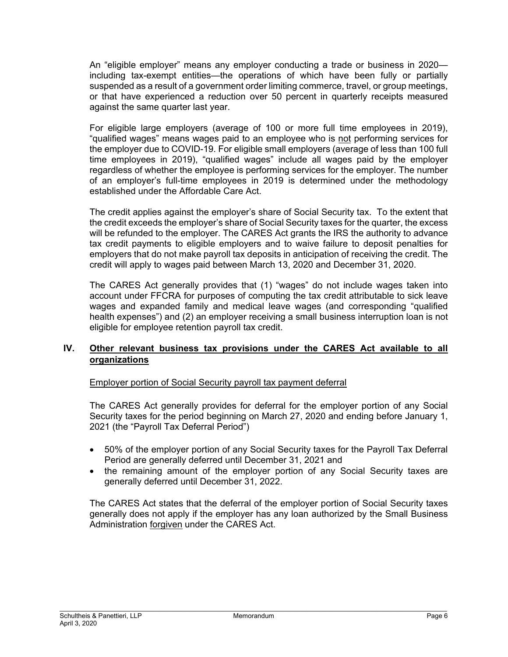An "eligible employer" means any employer conducting a trade or business in 2020 including tax-exempt entities—the operations of which have been fully or partially suspended as a result of a government order limiting commerce, travel, or group meetings, or that have experienced a reduction over 50 percent in quarterly receipts measured against the same quarter last year.

For eligible large employers (average of 100 or more full time employees in 2019), "qualified wages" means wages paid to an employee who is not performing services for the employer due to COVID-19. For eligible small employers (average of less than 100 full time employees in 2019), "qualified wages" include all wages paid by the employer regardless of whether the employee is performing services for the employer. The number of an employer's full-time employees in 2019 is determined under the methodology established under the Affordable Care Act.

The credit applies against the employer's share of Social Security tax. To the extent that the credit exceeds the employer's share of Social Security taxes for the quarter, the excess will be refunded to the employer. The CARES Act grants the IRS the authority to advance tax credit payments to eligible employers and to waive failure to deposit penalties for employers that do not make payroll tax deposits in anticipation of receiving the credit. The credit will apply to wages paid between March 13, 2020 and December 31, 2020.

The CARES Act generally provides that (1) "wages" do not include wages taken into account under FFCRA for purposes of computing the tax credit attributable to sick leave wages and expanded family and medical leave wages (and corresponding "qualified health expenses") and (2) an employer receiving a small business interruption loan is not eligible for employee retention payroll tax credit.

## **IV. Other relevant business tax provisions under the CARES Act available to all organizations**

### Employer portion of Social Security payroll tax payment deferral

The CARES Act generally provides for deferral for the employer portion of any Social Security taxes for the period beginning on March 27, 2020 and ending before January 1, 2021 (the "Payroll Tax Deferral Period")

- 50% of the employer portion of any Social Security taxes for the Payroll Tax Deferral Period are generally deferred until December 31, 2021 and
- the remaining amount of the employer portion of any Social Security taxes are generally deferred until December 31, 2022.

The CARES Act states that the deferral of the employer portion of Social Security taxes generally does not apply if the employer has any loan authorized by the Small Business Administration forgiven under the CARES Act.